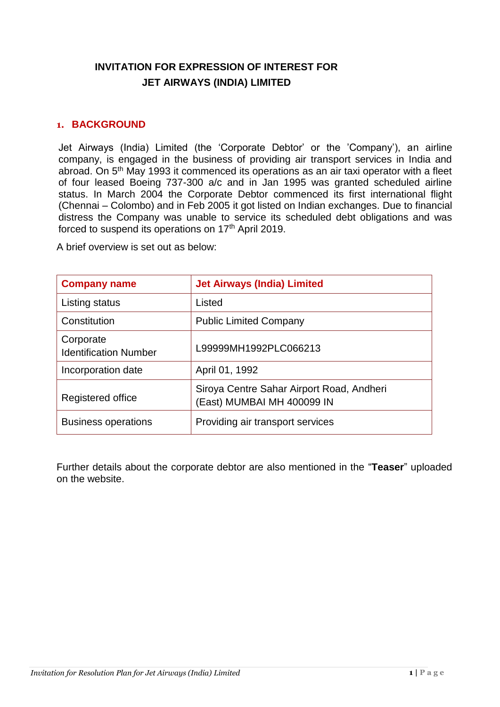# **INVITATION FOR EXPRESSION OF INTEREST FOR JET AIRWAYS (INDIA) LIMITED**

#### **1. BACKGROUND**

Jet Airways (India) Limited (the 'Corporate Debtor' or the 'Company'), an airline company, is engaged in the business of providing air transport services in India and abroad. On 5<sup>th</sup> May 1993 it commenced its operations as an air taxi operator with a fleet of four leased Boeing 737-300 a/c and in Jan 1995 was granted scheduled airline status. In March 2004 the Corporate Debtor commenced its first international flight (Chennai – Colombo) and in Feb 2005 it got listed on Indian exchanges. Due to financial distress the Company was unable to service its scheduled debt obligations and was forced to suspend its operations on 17<sup>th</sup> April 2019.

A brief overview is set out as below:

| <b>Company name</b>                       | <b>Jet Airways (India) Limited</b>                                      |
|-------------------------------------------|-------------------------------------------------------------------------|
| Listing status                            | Listed                                                                  |
| Constitution                              | <b>Public Limited Company</b>                                           |
| Corporate<br><b>Identification Number</b> | L99999MH1992PLC066213                                                   |
| Incorporation date                        | April 01, 1992                                                          |
| Registered office                         | Siroya Centre Sahar Airport Road, Andheri<br>(East) MUMBAI MH 400099 IN |
| <b>Business operations</b>                | Providing air transport services                                        |

Further details about the corporate debtor are also mentioned in the "**Teaser**" uploaded on the website.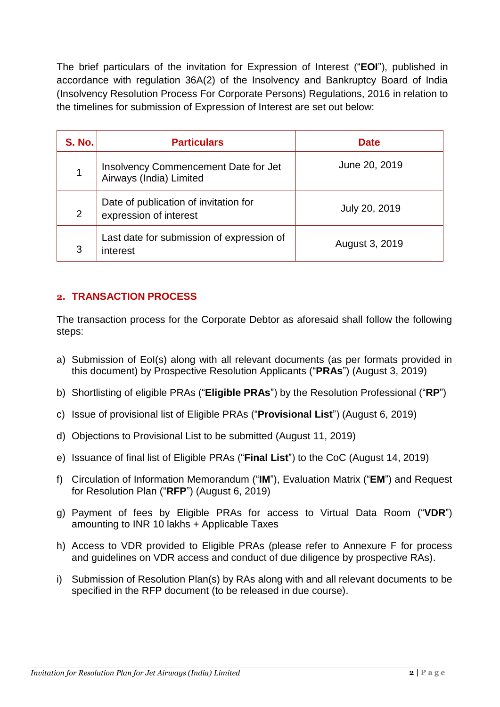The brief particulars of the invitation for Expression of Interest ("**EOI**"), published in accordance with regulation 36A(2) of the Insolvency and Bankruptcy Board of India (Insolvency Resolution Process For Corporate Persons) Regulations, 2016 in relation to the timelines for submission of Expression of Interest are set out below:

| <b>S. No.</b> | <b>Particulars</b>                                              | <b>Date</b>    |
|---------------|-----------------------------------------------------------------|----------------|
| 1             | Insolvency Commencement Date for Jet<br>Airways (India) Limited | June 20, 2019  |
| 2             | Date of publication of invitation for<br>expression of interest | July 20, 2019  |
| 3             | Last date for submission of expression of<br>interest           | August 3, 2019 |

## **2. TRANSACTION PROCESS**

The transaction process for the Corporate Debtor as aforesaid shall follow the following steps:

- a) Submission of EoI(s) along with all relevant documents (as per formats provided in this document) by Prospective Resolution Applicants ("**PRAs**") (August 3, 2019)
- b) Shortlisting of eligible PRAs ("**Eligible PRAs**") by the Resolution Professional ("**RP**")
- c) Issue of provisional list of Eligible PRAs ("**Provisional List**") (August 6, 2019)
- d) Objections to Provisional List to be submitted (August 11, 2019)
- e) Issuance of final list of Eligible PRAs ("**Final List**") to the CoC (August 14, 2019)
- f) Circulation of Information Memorandum ("**IM**"), Evaluation Matrix ("**EM**") and Request for Resolution Plan ("**RFP**") (August 6, 2019)
- g) Payment of fees by Eligible PRAs for access to Virtual Data Room ("**VDR**") amounting to INR 10 lakhs + Applicable Taxes
- h) Access to VDR provided to Eligible PRAs (please refer to Annexure F for process and guidelines on VDR access and conduct of due diligence by prospective RAs).
- i) Submission of Resolution Plan(s) by RAs along with and all relevant documents to be specified in the RFP document (to be released in due course).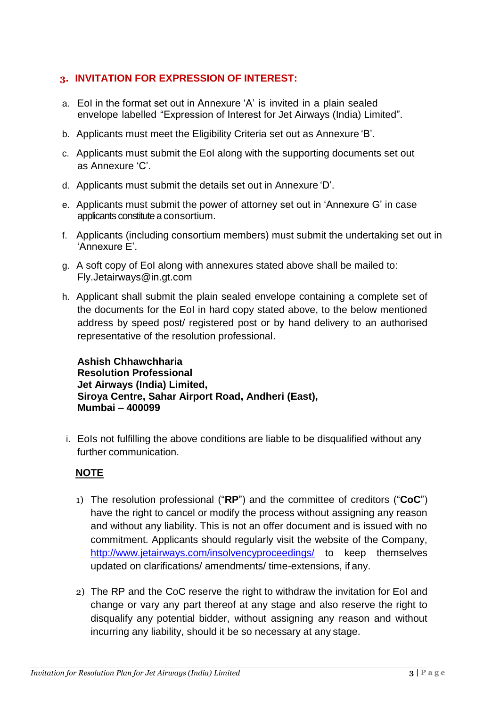## **3. INVITATION FOR EXPRESSION OF INTEREST:**

- a. EoI in the format set out in Annexure 'A' is invited in a plain sealed envelope labelled "Expression of Interest for Jet Airways (India) Limited".
- b. Applicants must meet the Eligibility Criteria set out as Annexure 'B'.
- c. Applicants must submit the EoI along with the supporting documents set out as Annexure 'C'.
- d. Applicants must submit the details set out in Annexure 'D'.
- e. Applicants must submit the power of attorney set out in 'Annexure G' in case applicants constitute a consortium.
- f. Applicants (including consortium members) must submit the undertaking set out in 'Annexure E'.
- g. A soft copy of EoI along with annexures stated above shall be mailed to: Fly.Jetairways@in.gt.com
- h. Applicant shall submit the plain sealed envelope containing a complete set of the documents for the EoI in hard copy stated above, to the below mentioned address by speed post/ registered post or by hand delivery to an authorised representative of the resolution professional.

**Ashish Chhawchharia Resolution Professional Jet Airways (India) Limited, Siroya Centre, Sahar Airport Road, Andheri (East), Mumbai – 400099**

i. EoIs not fulfilling the above conditions are liable to be disqualified without any further communication.

## **NOTE**

- 1) The resolution professional ("**RP**") and the committee of creditors ("**CoC**") have the right to cancel or modify the process without assigning any reason and without any liability. This is not an offer document and is issued with no commitment. Applicants should regularly visit the website of the Company, <http://www.jetairways.com/insolvencyproceedings/> to keep themselves updated on clarifications/ amendments/ time-extensions, if any.
- 2) The RP and the CoC reserve the right to withdraw the invitation for EoI and change or vary any part thereof at any stage and also reserve the right to disqualify any potential bidder, without assigning any reason and without incurring any liability, should it be so necessary at any stage.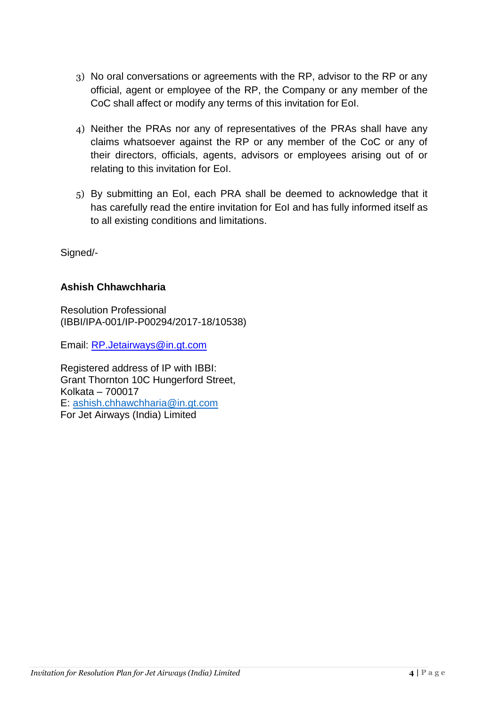- 3) No oral conversations or agreements with the RP, advisor to the RP or any official, agent or employee of the RP, the Company or any member of the CoC shall affect or modify any terms of this invitation for EoI.
- 4) Neither the PRAs nor any of representatives of the PRAs shall have any claims whatsoever against the RP or any member of the CoC or any of their directors, officials, agents, advisors or employees arising out of or relating to this invitation for EoI.
- 5) By submitting an EoI, each PRA shall be deemed to acknowledge that it has carefully read the entire invitation for EoI and has fully informed itself as to all existing conditions and limitations.

Signed/-

## **Ashish Chhawchharia**

Resolution Professional (IBBI/IPA-001/IP-P00294/2017-18/10538)

Email: [RP.Jetairways@in.gt.com](mailto:RP.Jetairways@in.gt.com)

Registered address of IP with IBBI: Grant Thornton 10C Hungerford Street, Kolkata – 700017 E: [ashish.chhawchharia@in.gt.com](mailto:ashish.chhawchharia@in.gt.com) For Jet Airways (India) Limited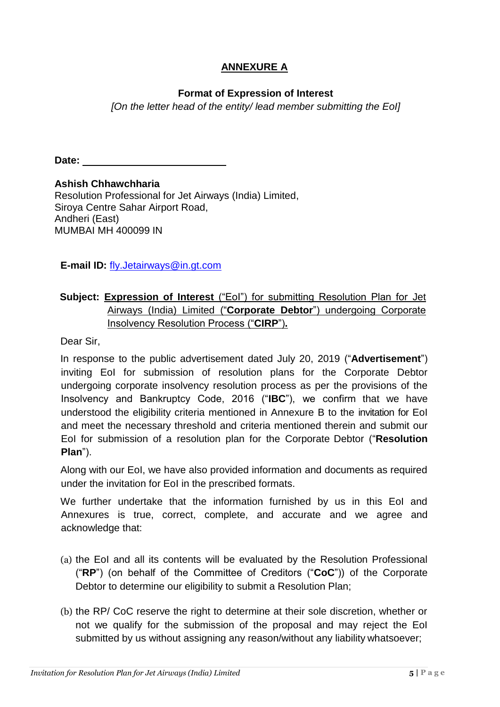## **ANNEXURE A**

## **Format of Expression of Interest**

*[On the letter head of the entity/ lead member submitting the EoI]*

**Date:**

**Ashish Chhawchharia** Resolution Professional for Jet Airways (India) Limited, Siroya Centre Sahar Airport Road, Andheri (East) MUMBAI MH 400099 IN

**E-mail ID:** [fly.Jetairways@in.gt.com](mailto:fly.Jetairways@in.gt.com)

## **Subject: Expression of Interest** ("EoI") for submitting Resolution Plan for Jet Airways (India) Limited ("**Corporate Debtor**") undergoing Corporate Insolvency Resolution Process ("**CIRP**")**.**

Dear Sir,

In response to the public advertisement dated July 20, 2019 ("**Advertisement**") inviting EoI for submission of resolution plans for the Corporate Debtor undergoing corporate insolvency resolution process as per the provisions of the Insolvency and Bankruptcy Code, 2016 ("**IBC**"), we confirm that we have understood the eligibility criteria mentioned in Annexure B to the invitation for EoI and meet the necessary threshold and criteria mentioned therein and submit our EoI for submission of a resolution plan for the Corporate Debtor ("**Resolution Plan**").

Along with our EoI, we have also provided information and documents as required under the invitation for EoI in the prescribed formats.

We further undertake that the information furnished by us in this EoI and Annexures is true, correct, complete, and accurate and we agree and acknowledge that:

- (a) the EoI and all its contents will be evaluated by the Resolution Professional ("**RP**") (on behalf of the Committee of Creditors ("**CoC**")) of the Corporate Debtor to determine our eligibility to submit a Resolution Plan;
- (b) the RP/ CoC reserve the right to determine at their sole discretion, whether or not we qualify for the submission of the proposal and may reject the EoI submitted by us without assigning any reason/without any liability whatsoever;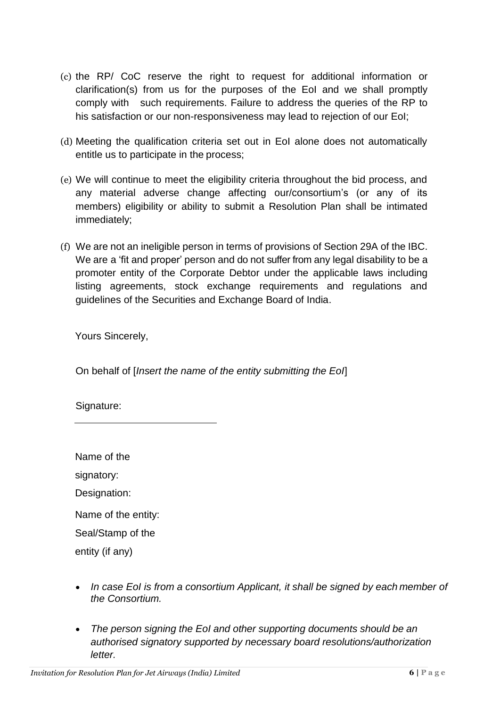- (c) the RP/ CoC reserve the right to request for additional information or clarification(s) from us for the purposes of the EoI and we shall promptly comply with such requirements. Failure to address the queries of the RP to his satisfaction or our non-responsiveness may lead to rejection of our EoI;
- (d) Meeting the qualification criteria set out in EoI alone does not automatically entitle us to participate in the process;
- (e) We will continue to meet the eligibility criteria throughout the bid process, and any material adverse change affecting our/consortium's (or any of its members) eligibility or ability to submit a Resolution Plan shall be intimated immediately;
- (f) We are not an ineligible person in terms of provisions of Section 29A of the IBC. We are a 'fit and proper' person and do not suffer from any legal disability to be a promoter entity of the Corporate Debtor under the applicable laws including listing agreements, stock exchange requirements and regulations and guidelines of the Securities and Exchange Board of India.

Yours Sincerely,

On behalf of [*Insert the name of the entity submitting the EoI*]

Signature:

Name of the

signatory:

Designation:

Name of the entity:

Seal/Stamp of the

entity (if any)

- In case EoI is from a consortium Applicant, it shall be signed by each member of *the Consortium.*
- *The person signing the EoI and other supporting documents should be an authorised signatory supported by necessary board resolutions/authorization letter.*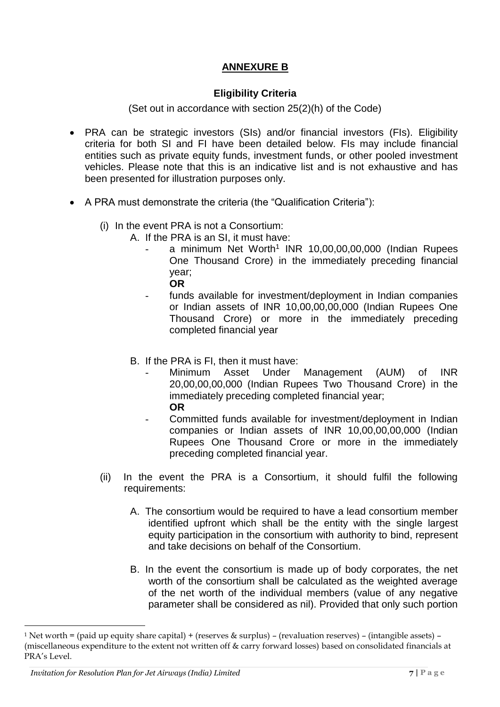## **ANNEXURE B**

#### **Eligibility Criteria**

(Set out in accordance with section 25(2)(h) of the Code)

- PRA can be strategic investors (SIs) and/or financial investors (FIs). Eligibility criteria for both SI and FI have been detailed below. FIs may include financial entities such as private equity funds, investment funds, or other pooled investment vehicles. Please note that this is an indicative list and is not exhaustive and has been presented for illustration purposes only.
- A PRA must demonstrate the criteria (the "Qualification Criteria"):
	- (i) In the event PRA is not a Consortium:
		- A. If the PRA is an SI, it must have:
			- a minimum Net Worth<sup>1</sup> INR 10,00,00,00,000 (Indian Rupees One Thousand Crore) in the immediately preceding financial year;
				- **OR**
			- funds available for investment/deployment in Indian companies or Indian assets of INR 10,00,00,00,000 (Indian Rupees One Thousand Crore) or more in the immediately preceding completed financial year
		- B. If the PRA is FI, then it must have:
			- Minimum Asset Under Management (AUM) of INR 20,00,00,00,000 (Indian Rupees Two Thousand Crore) in the immediately preceding completed financial year; **OR**
				- Committed funds available for investment/deployment in Indian companies or Indian assets of INR 10,00,00,00,000 (Indian Rupees One Thousand Crore or more in the immediately preceding completed financial year.
	- (ii) In the event the PRA is a Consortium, it should fulfil the following requirements:
		- A. The consortium would be required to have a lead consortium member identified upfront which shall be the entity with the single largest equity participation in the consortium with authority to bind, represent and take decisions on behalf of the Consortium.
		- B. In the event the consortium is made up of body corporates, the net worth of the consortium shall be calculated as the weighted average of the net worth of the individual members (value of any negative parameter shall be considered as nil). Provided that only such portion

 $\overline{a}$ 

<sup>&</sup>lt;sup>1</sup> Net worth = (paid up equity share capital) + (reserves & surplus) – (revaluation reserves) – (intangible assets) – (miscellaneous expenditure to the extent not written off & carry forward losses) based on consolidated financials at PRA's Level.

*Invitation for Resolution Plan for Jet Airways (India) Limited* **7 | P a g e**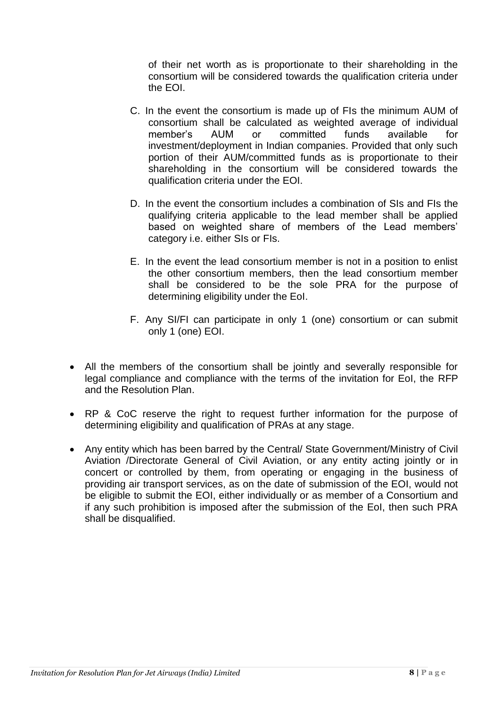of their net worth as is proportionate to their shareholding in the consortium will be considered towards the qualification criteria under the EOI.

- C. In the event the consortium is made up of FIs the minimum AUM of consortium shall be calculated as weighted average of individual member's AUM or committed funds available for investment/deployment in Indian companies. Provided that only such portion of their AUM/committed funds as is proportionate to their shareholding in the consortium will be considered towards the qualification criteria under the EOI.
- D. In the event the consortium includes a combination of SIs and FIs the qualifying criteria applicable to the lead member shall be applied based on weighted share of members of the Lead members' category i.e. either SIs or FIs.
- E. In the event the lead consortium member is not in a position to enlist the other consortium members, then the lead consortium member shall be considered to be the sole PRA for the purpose of determining eligibility under the EoI.
- F. Any SI/FI can participate in only 1 (one) consortium or can submit only 1 (one) EOI.
- All the members of the consortium shall be jointly and severally responsible for legal compliance and compliance with the terms of the invitation for EoI, the RFP and the Resolution Plan.
- RP & CoC reserve the right to request further information for the purpose of determining eligibility and qualification of PRAs at any stage.
- Any entity which has been barred by the Central/ State Government/Ministry of Civil Aviation /Directorate General of Civil Aviation, or any entity acting jointly or in concert or controlled by them, from operating or engaging in the business of providing air transport services, as on the date of submission of the EOI, would not be eligible to submit the EOI, either individually or as member of a Consortium and if any such prohibition is imposed after the submission of the EoI, then such PRA shall be disqualified.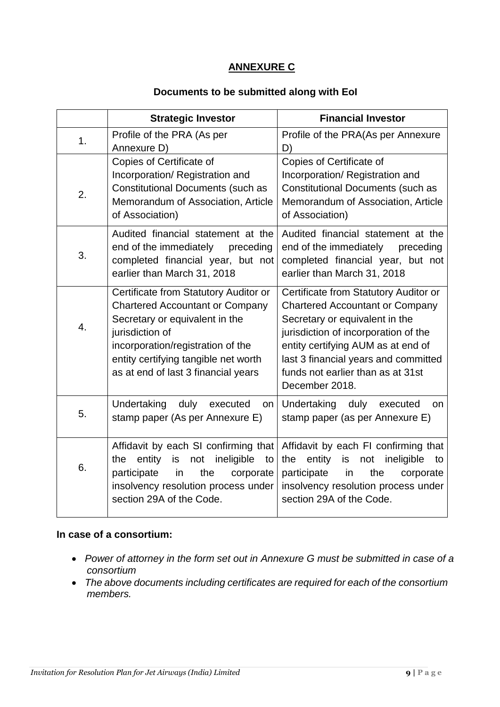## **ANNEXURE C**

#### **Documents to be submitted along with EoI**

|                | <b>Strategic Investor</b>                                                                                                                                                                                                                                | <b>Financial Investor</b>                                                                                                                                                                                                                                                                      |
|----------------|----------------------------------------------------------------------------------------------------------------------------------------------------------------------------------------------------------------------------------------------------------|------------------------------------------------------------------------------------------------------------------------------------------------------------------------------------------------------------------------------------------------------------------------------------------------|
| 1 <sub>1</sub> | Profile of the PRA (As per<br>Annexure D)                                                                                                                                                                                                                | Profile of the PRA(As per Annexure<br>D)                                                                                                                                                                                                                                                       |
| 2.             | Copies of Certificate of<br>Incorporation/ Registration and<br><b>Constitutional Documents (such as</b><br>Memorandum of Association, Article<br>of Association)                                                                                         | Copies of Certificate of<br>Incorporation/Registration and<br><b>Constitutional Documents (such as</b><br>Memorandum of Association, Article<br>of Association)                                                                                                                                |
| 3.             | Audited financial statement at the<br>end of the immediately<br>preceding<br>completed financial year, but not<br>earlier than March 31, 2018                                                                                                            | Audited financial statement at the<br>end of the immediately<br>preceding<br>completed financial year, but not<br>earlier than March 31, 2018                                                                                                                                                  |
| 4.             | Certificate from Statutory Auditor or<br><b>Chartered Accountant or Company</b><br>Secretary or equivalent in the<br>jurisdiction of<br>incorporation/registration of the<br>entity certifying tangible net worth<br>as at end of last 3 financial years | Certificate from Statutory Auditor or<br><b>Chartered Accountant or Company</b><br>Secretary or equivalent in the<br>jurisdiction of incorporation of the<br>entity certifying AUM as at end of<br>last 3 financial years and committed<br>funds not earlier than as at 31st<br>December 2018. |
| 5.             | Undertaking<br>duly<br>executed<br>on<br>stamp paper (As per Annexure E)                                                                                                                                                                                 | Undertaking<br>duly<br>executed<br>on<br>stamp paper (as per Annexure E)                                                                                                                                                                                                                       |
| 6.             | Affidavit by each SI confirming that<br>ineligible<br>entity<br>is<br>the<br>not<br>to<br>participate<br>in<br>the<br>corporate<br>insolvency resolution process under<br>section 29A of the Code.                                                       | Affidavit by each FI confirming that<br>entity<br>the<br>is<br>ineligible<br>not<br>to<br>participate<br>the<br>in<br>corporate<br>insolvency resolution process under<br>section 29A of the Code.                                                                                             |

#### **In case of a consortium:**

- *Power of attorney in the form set out in Annexure G must be submitted in case of a consortium*
- *The above documents including certificates are required for each of the consortium members.*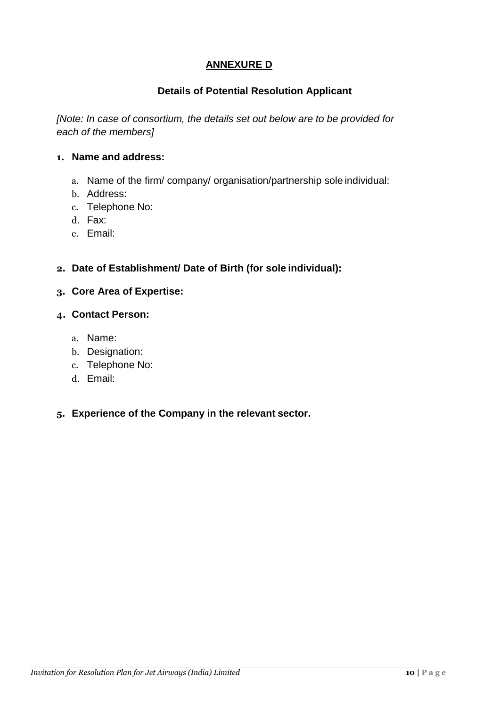## **ANNEXURE D**

## **Details of Potential Resolution Applicant**

*[Note: In case of consortium, the details set out below are to be provided for each of the members]*

#### **1. Name and address:**

- a. Name of the firm/ company/ organisation/partnership sole individual:
- b. Address:
- c. Telephone No:
- d. Fax:
- e. Email:

## **2. Date of Establishment/ Date of Birth (for sole individual):**

#### **3. Core Area of Expertise:**

#### **4. Contact Person:**

- a. Name:
- b. Designation:
- c. Telephone No:
- d. Email:

## **5. Experience of the Company in the relevant sector.**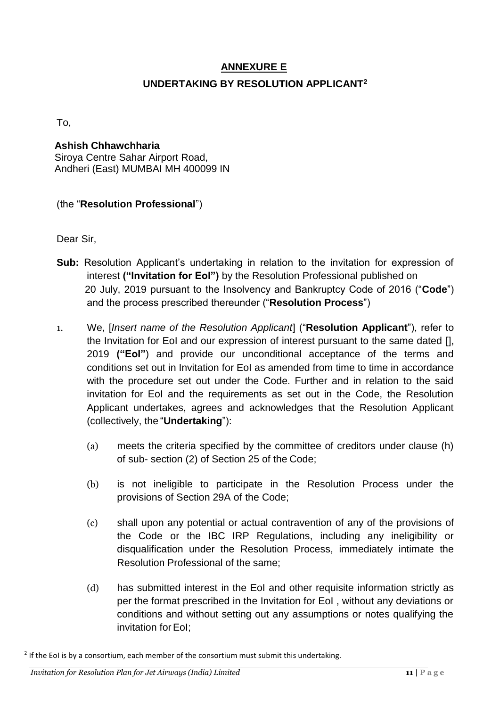# **ANNEXURE E UNDERTAKING BY RESOLUTION APPLICANT<sup>2</sup>**

To,

#### **Ashish Chhawchharia** Siroya Centre Sahar Airport Road, Andheri (East) MUMBAI MH 400099 IN

## (the "**Resolution Professional**")

Dear Sir,

- **Sub:** Resolution Applicant's undertaking in relation to the invitation for expression of interest **("Invitation for EoI")** by the Resolution Professional published on 20 July, 2019 pursuant to the Insolvency and Bankruptcy Code of 2016 ("**Code**") and the process prescribed thereunder ("**Resolution Process**")
- 1. We, [*Insert name of the Resolution Applicant*] ("**Resolution Applicant**"), refer to the Invitation for EoI and our expression of interest pursuant to the same dated [], 2019 **("EoI"**) and provide our unconditional acceptance of the terms and conditions set out in Invitation for EoI as amended from time to time in accordance with the procedure set out under the Code. Further and in relation to the said invitation for EoI and the requirements as set out in the Code, the Resolution Applicant undertakes, agrees and acknowledges that the Resolution Applicant (collectively, the "**Undertaking**"):
	- (a) meets the criteria specified by the committee of creditors under clause (h) of sub- section (2) of Section 25 of the Code;
	- (b) is not ineligible to participate in the Resolution Process under the provisions of Section 29A of the Code;
	- (c) shall upon any potential or actual contravention of any of the provisions of the Code or the IBC IRP Regulations, including any ineligibility or disqualification under the Resolution Process, immediately intimate the Resolution Professional of the same;
	- (d) has submitted interest in the EoI and other requisite information strictly as per the format prescribed in the Invitation for EoI , without any deviations or conditions and without setting out any assumptions or notes qualifying the invitation for EoI:

 $\overline{a}$ 

 $^2$  If the EoI is by a consortium, each member of the consortium must submit this undertaking.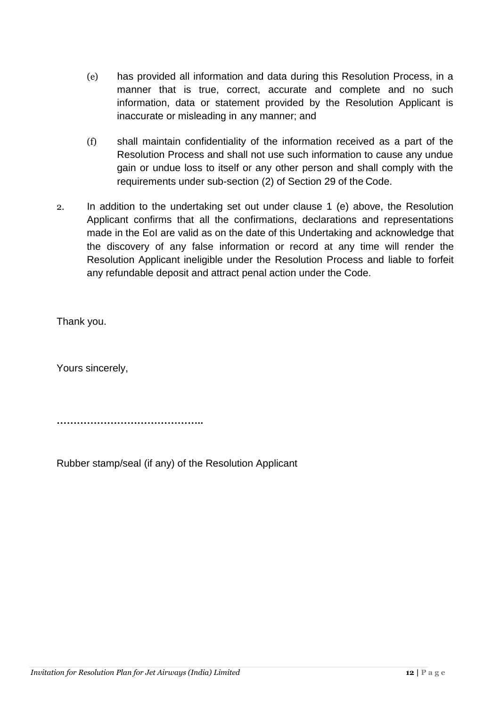- (e) has provided all information and data during this Resolution Process, in a manner that is true, correct, accurate and complete and no such information, data or statement provided by the Resolution Applicant is inaccurate or misleading in any manner; and
- (f) shall maintain confidentiality of the information received as a part of the Resolution Process and shall not use such information to cause any undue gain or undue loss to itself or any other person and shall comply with the requirements under sub-section (2) of Section 29 of the Code.
- 2. In addition to the undertaking set out under clause 1 (e) above, the Resolution Applicant confirms that all the confirmations, declarations and representations made in the EoI are valid as on the date of this Undertaking and acknowledge that the discovery of any false information or record at any time will render the Resolution Applicant ineligible under the Resolution Process and liable to forfeit any refundable deposit and attract penal action under the Code.

Thank you.

Yours sincerely,

**……………………………………..**

Rubber stamp/seal (if any) of the Resolution Applicant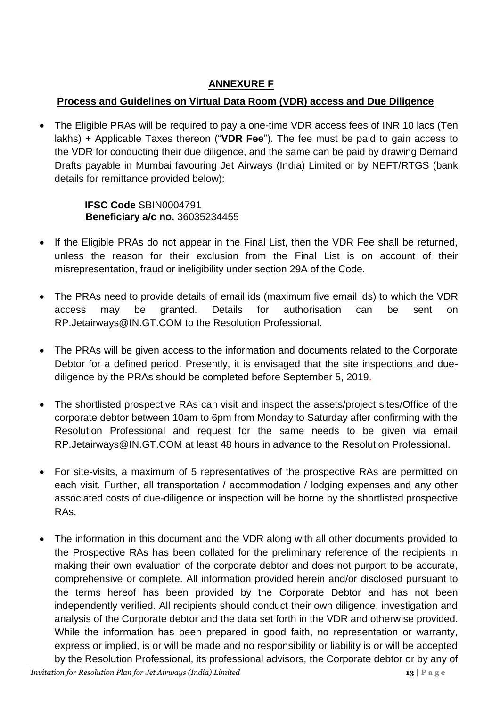# **ANNEXURE F**

## **Process and Guidelines on Virtual Data Room (VDR) access and Due Diligence**

 The Eligible PRAs will be required to pay a one-time VDR access fees of INR 10 lacs (Ten lakhs) + Applicable Taxes thereon ("**VDR Fee**"). The fee must be paid to gain access to the VDR for conducting their due diligence, and the same can be paid by drawing Demand Drafts payable in Mumbai favouring Jet Airways (India) Limited or by NEFT/RTGS (bank details for remittance provided below):

## **IFSC Code** SBIN0004791  **Beneficiary a/c no.** 36035234455

- If the Eligible PRAs do not appear in the Final List, then the VDR Fee shall be returned, unless the reason for their exclusion from the Final List is on account of their misrepresentation, fraud or ineligibility under section 29A of the Code.
- The PRAs need to provide details of email ids (maximum five email ids) to which the VDR access may be granted. Details for authorisation can be sent on RP.Jetairways@IN.GT.COM to the Resolution Professional.
- The PRAs will be given access to the information and documents related to the Corporate Debtor for a defined period. Presently, it is envisaged that the site inspections and duediligence by the PRAs should be completed before September 5, 2019.
- The shortlisted prospective RAs can visit and inspect the assets/project sites/Office of the corporate debtor between 10am to 6pm from Monday to Saturday after confirming with the Resolution Professional and request for the same needs to be given via email RP.Jetairways@IN.GT.COM at least 48 hours in advance to the Resolution Professional.
- For site-visits, a maximum of 5 representatives of the prospective RAs are permitted on each visit. Further, all transportation / accommodation / lodging expenses and any other associated costs of due-diligence or inspection will be borne by the shortlisted prospective RAs.
- The information in this document and the VDR along with all other documents provided to the Prospective RAs has been collated for the preliminary reference of the recipients in making their own evaluation of the corporate debtor and does not purport to be accurate, comprehensive or complete. All information provided herein and/or disclosed pursuant to the terms hereof has been provided by the Corporate Debtor and has not been independently verified. All recipients should conduct their own diligence, investigation and analysis of the Corporate debtor and the data set forth in the VDR and otherwise provided. While the information has been prepared in good faith, no representation or warranty, express or implied, is or will be made and no responsibility or liability is or will be accepted by the Resolution Professional, its professional advisors, the Corporate debtor or by any of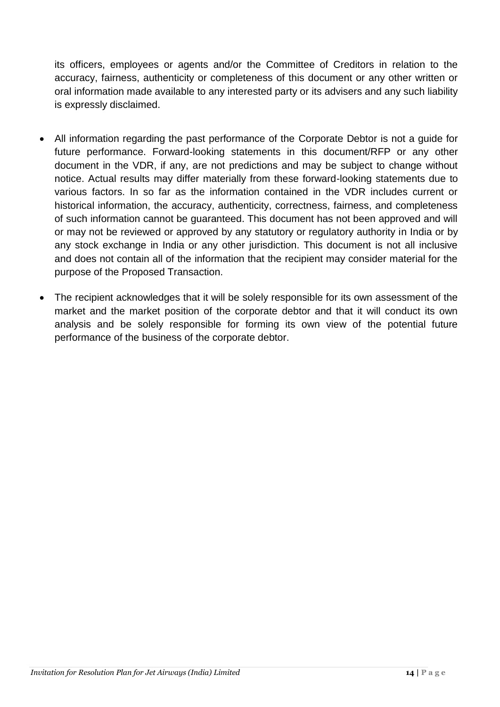its officers, employees or agents and/or the Committee of Creditors in relation to the accuracy, fairness, authenticity or completeness of this document or any other written or oral information made available to any interested party or its advisers and any such liability is expressly disclaimed.

- All information regarding the past performance of the Corporate Debtor is not a guide for future performance. Forward-looking statements in this document/RFP or any other document in the VDR, if any, are not predictions and may be subject to change without notice. Actual results may differ materially from these forward-looking statements due to various factors. In so far as the information contained in the VDR includes current or historical information, the accuracy, authenticity, correctness, fairness, and completeness of such information cannot be guaranteed. This document has not been approved and will or may not be reviewed or approved by any statutory or regulatory authority in India or by any stock exchange in India or any other jurisdiction. This document is not all inclusive and does not contain all of the information that the recipient may consider material for the purpose of the Proposed Transaction.
- The recipient acknowledges that it will be solely responsible for its own assessment of the market and the market position of the corporate debtor and that it will conduct its own analysis and be solely responsible for forming its own view of the potential future performance of the business of the corporate debtor.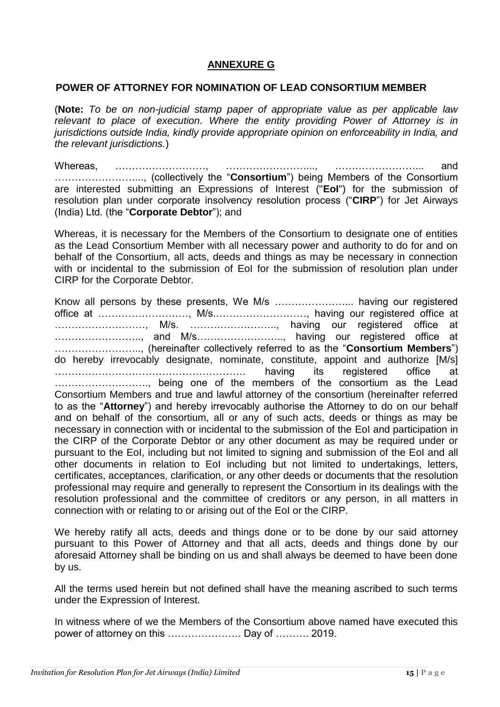#### **ANNEXURE G**

#### **POWER OF ATTORNEY FOR NOMINATION OF LEAD CONSORTIUM MEMBER**

(**Note:** *To be on non-judicial stamp paper of appropriate value as per applicable law relevant to place of execution. Where the entity providing Power of Attorney is in jurisdictions outside India, kindly provide appropriate opinion on enforceability in India, and the relevant jurisdictions.*)

Whereas, ………………………, ……………………..., ……………………... and ……………………..., (collectively the "**Consortium**") being Members of the Consortium are interested submitting an Expressions of Interest ("**EoI**") for the submission of resolution plan under corporate insolvency resolution process ("**CIRP**") for Jet Airways (India) Ltd. (the "**Corporate Debtor**"); and

Whereas, it is necessary for the Members of the Consortium to designate one of entities as the Lead Consortium Member with all necessary power and authority to do for and on behalf of the Consortium, all acts, deeds and things as may be necessary in connection with or incidental to the submission of EoI for the submission of resolution plan under CIRP for the Corporate Debtor.

Know all persons by these presents, We M/s …………………... having our registered office at ………………………, M/s.………………………, having our registered office at ………………………, M/s. …………………….., having our registered office at …………………….., and M/s…………………….., having our registered office at …………………….., (hereinafter collectively referred to as the "**Consortium Members**") do hereby irrevocably designate, nominate, constitute, appoint and authorize [M/s] ………………………………………………… having its registered office at ………………………., being one of the members of the consortium as the Lead Consortium Members and true and lawful attorney of the consortium (hereinafter referred to as the "**Attorney**") and hereby irrevocably authorise the Attorney to do on our behalf and on behalf of the consortium, all or any of such acts, deeds or things as may be necessary in connection with or incidental to the submission of the EoI and participation in the CIRP of the Corporate Debtor or any other document as may be required under or pursuant to the EoI, including but not limited to signing and submission of the EoI and all other documents in relation to EoI including but not limited to undertakings, letters, certificates, acceptances, clarification, or any other deeds or documents that the resolution professional may require and generally to represent the Consortium in its dealings with the resolution professional and the committee of creditors or any person, in all matters in connection with or relating to or arising out of the EoI or the CIRP.

We hereby ratify all acts, deeds and things done or to be done by our said attorney pursuant to this Power of Attorney and that all acts, deeds and things done by our aforesaid Attorney shall be binding on us and shall always be deemed to have been done by us.

All the terms used herein but not defined shall have the meaning ascribed to such terms under the Expression of Interest.

In witness where of we the Members of the Consortium above named have executed this power of attorney on this …………………. Day of ………. 2019.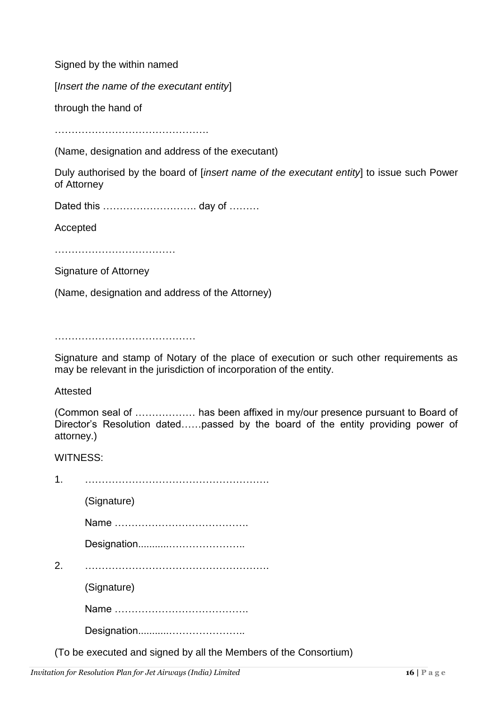Signed by the within named

[*Insert the name of the executant entity*]

through the hand of

……………………………………….

(Name, designation and address of the executant)

Duly authorised by the board of [*insert name of the executant entity*] to issue such Power of Attorney

Dated this ………………………. day of ………

Accepted

………………………………

Signature of Attorney

(Name, designation and address of the Attorney)

……………………………………

Signature and stamp of Notary of the place of execution or such other requirements as may be relevant in the jurisdiction of incorporation of the entity.

Attested

(Common seal of ……………… has been affixed in my/our presence pursuant to Board of Director's Resolution dated……passed by the board of the entity providing power of attorney.)

WITNESS:

| $\mathbf 1$ |                                                                  |
|-------------|------------------------------------------------------------------|
|             | (Signature)                                                      |
|             |                                                                  |
|             |                                                                  |
| 2.          |                                                                  |
|             | (Signature)                                                      |
|             |                                                                  |
|             |                                                                  |
|             | (To be executed and signed by all the Members of the Consortium) |